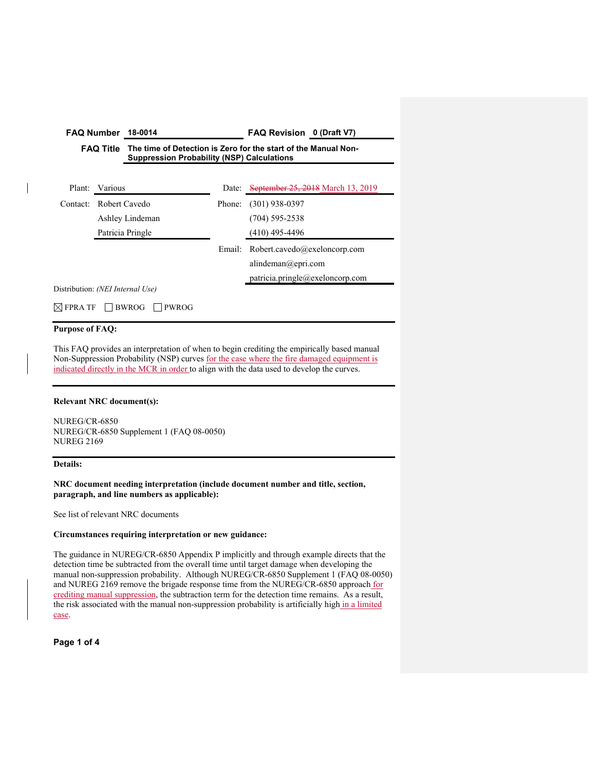| <b>FAQ Number</b><br><b>FAQ Title</b>               |               | 18-0014                                                                                                             |        | FAQ Revision 0 (Draft V7)                                                                 |  |
|-----------------------------------------------------|---------------|---------------------------------------------------------------------------------------------------------------------|--------|-------------------------------------------------------------------------------------------|--|
|                                                     |               | The time of Detection is Zero for the start of the Manual Non-<br><b>Suppression Probability (NSP) Calculations</b> |        |                                                                                           |  |
| Plant:                                              | Various       |                                                                                                                     | Date:  | September 25, 2018 March 13, 2019                                                         |  |
| Contact:                                            | Robert Cavedo |                                                                                                                     | Phone: | $(301)$ 938-0397                                                                          |  |
|                                                     |               | Ashley Lindeman                                                                                                     |        | $(704)$ 595-2538                                                                          |  |
|                                                     |               | Patricia Pringle                                                                                                    |        | $(410)$ 495-4496                                                                          |  |
|                                                     |               |                                                                                                                     | Email: | Robert.cavedo@exeloncorp.com<br>alindeman@epri.com<br>particia.printlngle@exelon corp.com |  |
| Distribution: (NEI Internal Use)                    |               |                                                                                                                     |        |                                                                                           |  |
| $\boxtimes$ fpra tf<br><b>BWROG</b><br><b>PWROG</b> |               |                                                                                                                     |        |                                                                                           |  |

## **Purpose of FAQ:**

This FAQ provides an interpretation of when to begin crediting the empirically based manual Non-Suppression Probability (NSP) curves for the case where the fire damaged equipment is indicated directly in the MCR in order to align with the data used to develop the curves.

# **Relevant NRC document(s):**

NUREG/CR-6850 NUREG/CR-6850 Supplement 1 (FAQ 08-0050) NUREG 2169

## **Details:**

**NRC document needing interpretation (include document number and title, section, paragraph, and line numbers as applicable):** 

See list of relevant NRC documents

# **Circumstances requiring interpretation or new guidance:**

The guidance in NUREG/CR-6850 Appendix P implicitly and through example directs that the detection time be subtracted from the overall time until target damage when developing the manual non-suppression probability. Although NUREG/CR-6850 Supplement 1 (FAQ 08-0050) and NUREG 2169 remove the brigade response time from the NUREG/CR-6850 approach for crediting manual suppression, the subtraction term for the detection time remains. As a result, the risk associated with the manual non-suppression probability is artificially high in a limited case.

**Page 1 of 4**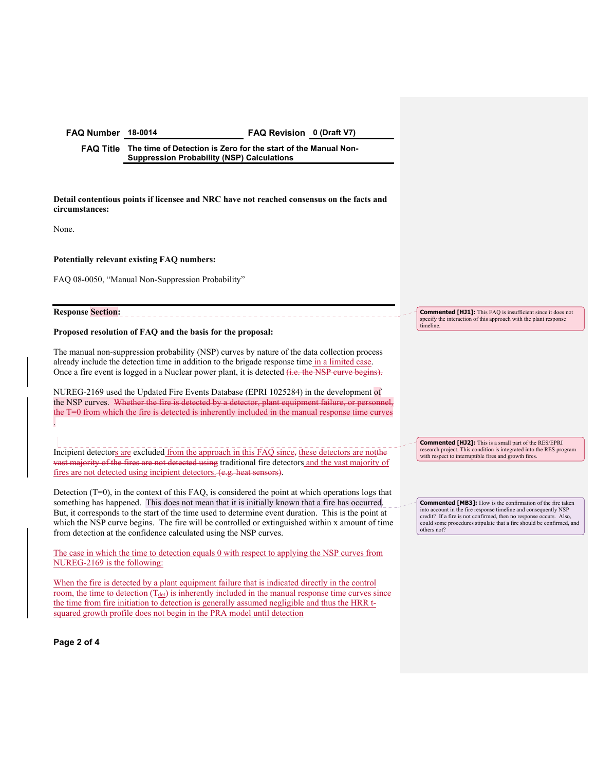**FAQ Number 18-0014 FAQ Revision 0 (Draft V7)** 

**FAQ Title The time of Detection is Zero for the start of the Manual Non-Suppression Probability (NSP) Calculations** 

**Detail contentious points if licensee and NRC have not reached consensus on the facts and circumstances:** 

None.

.

### **Potentially relevant existing FAQ numbers:**

FAQ 08-0050, "Manual Non-Suppression Probability"

**Response Section:** 

### **Proposed resolution of FAQ and the basis for the proposal:**

The manual non-suppression probability (NSP) curves by nature of the data collection process already include the detection time in addition to the brigade response time in a limited case. Once a fire event is logged in a Nuclear power plant, it is detected (*i.e. the NSP curve begins*).

NUREG-2169 used the Updated Fire Events Database (EPRI 1025284) in the development of the NSP curves. Whether the fire is detected by a detector, plant equipment failure, or pers the T=0 from which the fire is detected is inherently included in the manual response

Incipient detectors are excluded from the approach in this FAQ since, these detectors are notthe vast majority of the fires are not detected using traditional fire detectors and the vast majority of fires are not detected using incipient detectors. (e.g. heat sensors).

Detection (T=0), in the context of this FAQ, is considered the point at which operations logs that something has happened. This does not mean that it is initially known that a fire has occurred. But, it corresponds to the start of the time used to determine event duration. This is the point at which the NSP curve begins. The fire will be controlled or extinguished within x amount of time from detection at the confidence calculated using the NSP curves.

The case in which the time to detection equals 0 with respect to applying the NSP curves from NUREG-2169 is the following:

When the fire is detected by a plant equipment failure that is indicated directly in the control room, the time to detection  $(T_{\text{det}})$  is inherently included in the manual response time curves since the time from fire initiation to detection is generally assumed negligible and thus the HRR tsquared growth profile does not begin in the PRA model until detection

**Page 2 of 4** 

**Commented [HJ1]:** This FAQ is insufficient since it does not specify the interaction of this approach with the plant respon timeline.

**Commented [HJ2]:** This is a small part of the RES/EPRI research project. This condition is integrated into the RES program with respect to interruptible fires and growth fires.

**Commented [MB3]:** How is the confirmation of the fire taken into account in the fire response timeline and consequently NSP credit? If a fire is not confirmed, then no response occurs. Also, could some procedures stipulate that a fire should be confirmed, and others not?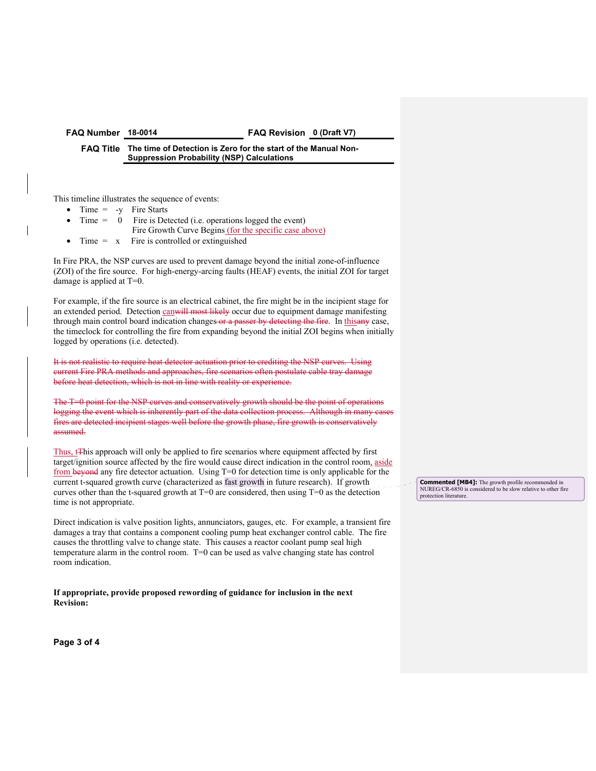# **FAQ Number 18-0014 FAQ Revision 0 (Draft V7)**

### **FAQ Title The time of Detection is Zero for the start of the Manual Non-Suppression Probability (NSP) Calculations**

This timeline illustrates the sequence of events:

- Time  $= -y$  Fire Starts
- $Time = 0$  Fire is Detected (i.e. operations logged the event) Fire Growth Curve Begins (for the specific case above)
- Time  $= x$  Fire is controlled or extinguished

In Fire PRA, the NSP curves are used to prevent damage beyond the initial zone-of-influence (ZOI) of the fire source. For high-energy-arcing faults (HEAF) events, the initial ZOI for target damage is applied at T=0.

For example, if the fire source is an electrical cabinet, the fire might be in the incipient stage for an extended period. Detection canwill most likely occur due to equipment damage manifesting through main control board indication changes or a passer by detecting the fire. In thisany case, the timeclock for controlling the fire from expanding beyond the initial ZOI begins when initially logged by operations (i.e. detected).

It is not realistic to require heat detector actuation prior to crediting the NSP curves. Using current Fire PRA methods and approaches, fire scenarios often postulate cable tray damage before heat detection, which is not in line with reality or experience.

The T=0 point for the NSP curves and conservatively growth should be the point of operations logging the event which is inherently part of the data collection process. Although in many c fires are detected incipient stages well before the growth phase, fire growth is conservatively assumed.

Thus, t<sub>This</sub> approach will only be applied to fire scenarios where equipment affected by first target/ignition source affected by the fire would cause direct indication in the control room, aside from beyond any fire detector actuation. Using T=0 for detection time is only applicable for the current t-squared growth curve (characterized as fast growth in future research). If growth curves other than the t-squared growth at  $T=0$  are considered, then using  $T=0$  as the detection time is not appropriate.

Direct indication is valve position lights, annunciators, gauges, etc. For example, a transient fire damages a tray that contains a component cooling pump heat exchanger control cable. The fire causes the throttling valve to change state. This causes a reactor coolant pump seal high temperature alarm in the control room. T=0 can be used as valve changing state has control room indication.

**If appropriate, provide proposed rewording of guidance for inclusion in the next Revision:** 

**Page 3 of 4** 

**Commented [MB4]:** The growth profile recommended in NUREG/CR-6850 is considered to be slow relative to other fire protection literature.